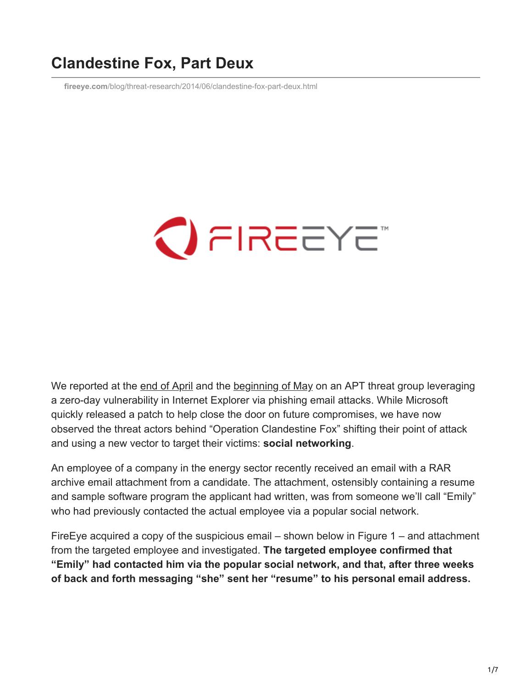# **Clandestine Fox, Part Deux**

**fireeye.com**[/blog/threat-research/2014/06/clandestine-fox-part-deux.html](https://www.fireeye.com/blog/threat-research/2014/06/clandestine-fox-part-deux.html)

# $\bigcirc$  FIREEYE

We reported at the [end of April](https://www.fireeye.com/blog/threat-research/2014/04/new-zero-day-exploit-targeting-internet-explorer-versions-9-through-11-identified-in-targeted-attacks.html) and the [beginning of May](https://www.fireeye.com/blog/threat-research/2014/05/operation-clandestine-fox-now-attacking-windows-xp-using-recently-discovered-ie-vulnerability.html) on an APT threat group leveraging a zero-day vulnerability in Internet Explorer via phishing email attacks. While Microsoft quickly released a patch to help close the door on future compromises, we have now observed the threat actors behind "Operation Clandestine Fox" shifting their point of attack and using a new vector to target their victims: **social networking**.

An employee of a company in the energy sector recently received an email with a RAR archive email attachment from a candidate. The attachment, ostensibly containing a resume and sample software program the applicant had written, was from someone we'll call "Emily" who had previously contacted the actual employee via a popular social network.

FireEye acquired a copy of the suspicious email – shown below in Figure 1 – and attachment from the targeted employee and investigated. **The targeted employee confirmed that "Emily" had contacted him via the popular social network, and that, after three weeks of back and forth messaging "she" sent her "resume" to his personal email address.**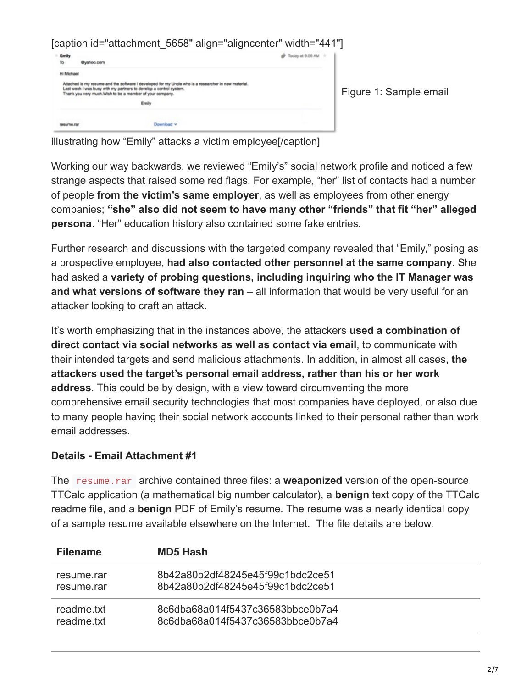[caption id="attachment 5658" align="aligncenter" width="441"] @ Today at 9:56 AM +  $\mathsf{To}$ @yahoo.com Hi Michael Attached is my resume and the software I developed for my Uncle who is a researcher in new material<br>Last week I was busy with my partners to develop a control system.<br>Thank you very much.Wish to be a member of your company Figure 1: Sample email Emily resume.rar Download v

illustrating how "Emily" attacks a victim employee[/caption]

Working our way backwards, we reviewed "Emily's" social network profile and noticed a few strange aspects that raised some red flags. For example, "her" list of contacts had a number of people **from the victim's same employer**, as well as employees from other energy companies; **"she" also did not seem to have many other "friends" that fit "her" alleged persona**. "Her" education history also contained some fake entries.

Further research and discussions with the targeted company revealed that "Emily," posing as a prospective employee, **had also contacted other personnel at the same company**. She had asked a **variety of probing questions, including inquiring who the IT Manager was and what versions of software they ran** – all information that would be very useful for an attacker looking to craft an attack.

It's worth emphasizing that in the instances above, the attackers **used a combination of direct contact via social networks as well as contact via email**, to communicate with their intended targets and send malicious attachments. In addition, in almost all cases, **the attackers used the target's personal email address, rather than his or her work address**. This could be by design, with a view toward circumventing the more comprehensive email security technologies that most companies have deployed, or also due to many people having their social network accounts linked to their personal rather than work email addresses.

## **Details - Email Attachment #1**

The resume.rar archive contained three files: a **weaponized** version of the open-source TTCalc application (a mathematical big number calculator), a **benign** text copy of the TTCalc readme file, and a **benign** PDF of Emily's resume. The resume was a nearly identical copy of a sample resume available elsewhere on the Internet. The file details are below.

| <b>Filename</b> | <b>MD5 Hash</b>                  |
|-----------------|----------------------------------|
| resume.rar      | 8b42a80b2df48245e45f99c1bdc2ce51 |
| resume rar      | 8b42a80b2df48245e45f99c1bdc2ce51 |
| readme.txt      | 8c6dba68a014f5437c36583bbce0b7a4 |
| readme.txt      | 8c6dba68a014f5437c36583bbce0b7a4 |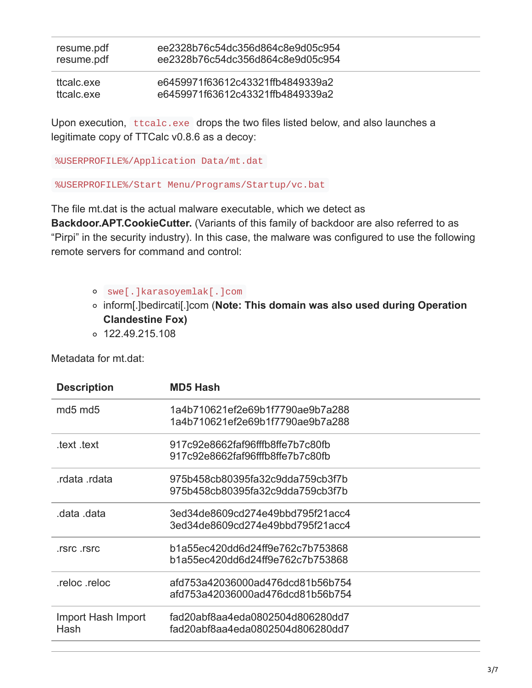| resume.pdf | ee2328b76c54dc356d864c8e9d05c954 |
|------------|----------------------------------|
| resume.pdf | ee2328b76c54dc356d864c8e9d05c954 |
| ttcalc.exe | e6459971f63612c43321ffb4849339a2 |
| ttcalc.exe | e6459971f63612c43321ffb4849339a2 |

Upon execution, ttcalc.exe drops the two files listed below, and also launches a legitimate copy of TTCalc v0.8.6 as a decoy:

%USERPROFILE%/Application Data/mt.dat

%USERPROFILE%/Start Menu/Programs/Startup/vc.bat

The file mt.dat is the actual malware executable, which we detect as **Backdoor.APT.CookieCutter.** (Variants of this family of backdoor are also referred to as "Pirpi" in the security industry). In this case, the malware was configured to use the following remote servers for command and control:

- swe[.]karasoyemlak[.]com
- inform[.]bedircati[.]com (**Note: This domain was also used during Operation Clandestine Fox)**
- $0.122.49.215.108$

Metadata for mt.dat:

| <b>Description</b>              | <b>MD5 Hash</b>                                                      |
|---------------------------------|----------------------------------------------------------------------|
| md <sub>5</sub> md <sub>5</sub> | 1a4b710621ef2e69b1f7790ae9b7a288<br>1a4b710621ef2e69b1f7790ae9b7a288 |
| .text .text                     | 917c92e8662faf96fffb8ffe7b7c80fb<br>917c92e8662faf96fffb8ffe7b7c80fb |
| rdata rdata.                    | 975b458cb80395fa32c9dda759cb3f7b<br>975b458cb80395fa32c9dda759cb3f7b |
| data data.                      | 3ed34de8609cd274e49bbd795f21acc4<br>3ed34de8609cd274e49bbd795f21acc4 |
| rsrc rsrc                       | b1a55ec420dd6d24ff9e762c7b753868<br>b1a55ec420dd6d24ff9e762c7b753868 |
| reloc reloc.                    | afd753a42036000ad476dcd81b56b754<br>afd753a42036000ad476dcd81b56b754 |
| Import Hash Import<br>Hash      | fad20abf8aa4eda0802504d806280dd7<br>fad20abf8aa4eda0802504d806280dd7 |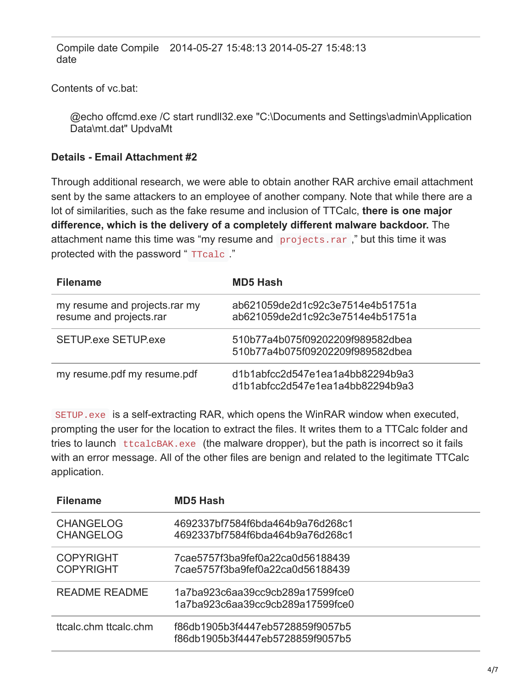Compile date Compile 2014-05-27 15:48:13 2014-05-27 15:48:13 date

Contents of vc.bat:

@echo offcmd.exe /C start rundll32.exe "C:\Documents and Settings\admin\Application Data\mt.dat" UpdvaMt

#### **Details - Email Attachment #2**

Through additional research, we were able to obtain another RAR archive email attachment sent by the same attackers to an employee of another company. Note that while there are a lot of similarities, such as the fake resume and inclusion of TTCalc, **there is one major difference, which is the delivery of a completely different malware backdoor.** The attachment name this time was "my resume and projects.rar ," but this time it was protected with the password "TTcalc"

| <b>Filename</b>                                          | <b>MD5 Hash</b>                                                      |  |
|----------------------------------------------------------|----------------------------------------------------------------------|--|
| my resume and projects rar my<br>resume and projects.rar | ab621059de2d1c92c3e7514e4b51751a<br>ab621059de2d1c92c3e7514e4b51751a |  |
| <b>SETUP.exe SETUP.exe</b>                               | 510b77a4b075f09202209f989582dbea<br>510b77a4b075f09202209f989582dbea |  |
| my resume.pdf my resume.pdf                              | d1b1abfcc2d547e1ea1a4bb82294b9a3<br>d1b1abfcc2d547e1ea1a4bb82294b9a3 |  |

SETUP.exe is a self-extracting RAR, which opens the WinRAR window when executed, prompting the user for the location to extract the files. It writes them to a TTCalc folder and tries to launch ttcalcBAK.exe (the malware dropper), but the path is incorrect so it fails with an error message. All of the other files are benign and related to the legitimate TTCalc application.

| <b>Filename</b>                      | <b>MD5 Hash</b>                                                      |
|--------------------------------------|----------------------------------------------------------------------|
| <b>CHANGELOG</b><br><b>CHANGELOG</b> | 4692337bf7584f6bda464b9a76d268c1<br>4692337bf7584f6bda464b9a76d268c1 |
| <b>COPYRIGHT</b><br><b>COPYRIGHT</b> | 7cae5757f3ba9fef0a22ca0d56188439<br>7cae5757f3ba9fef0a22ca0d56188439 |
| <b>README README</b>                 | 1a7ba923c6aa39cc9cb289a17599fce0<br>1a7ba923c6aa39cc9cb289a17599fce0 |
| ttcalc chm ttcalc chm                | f86db1905b3f4447eb5728859f9057b5<br>f86db1905b3f4447eb5728859f9057b5 |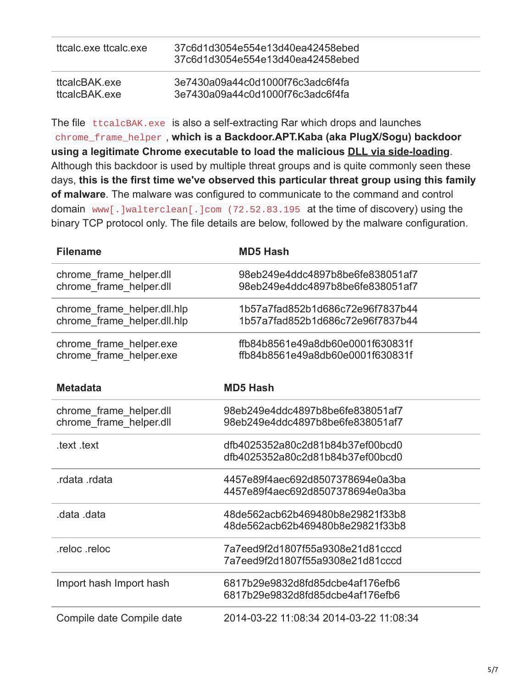| ttcalc exe ttcalc exe | 37c6d1d3054e554e13d40ea42458ebed<br>37c6d1d3054e554e13d40ea42458ebed |
|-----------------------|----------------------------------------------------------------------|
| ttcalcBAK exe         | 3e7430a09a44c0d1000f76c3adc6f4fa                                     |
| ttcalcBAK exe         | 3e7430a09a44c0d1000f76c3adc6f4fa                                     |

The file ttcalcBAK.exe is also a self-extracting Rar which drops and launches chrome\_frame\_helper , **which is a Backdoor.APT.Kaba (aka PlugX/Sogu) backdoor using a legitimate Chrome executable to load the malicious [DLL via side-loading](https://www.fireeye.com/content/dam/fireeye-www/global/en/current-threats/pdfs/rpt-dll-sideloading.pdf)**. Although this backdoor is used by multiple threat groups and is quite commonly seen these days, **this is the first time we've observed this particular threat group using this family of malware**. The malware was configured to communicate to the command and control domain www [.] walterclean [.] com (72.52.83.195 at the time of discovery) using the binary TCP protocol only. The file details are below, followed by the malware configuration.

| <b>Filename</b>                                            | <b>MD5 Hash</b>                                                      |
|------------------------------------------------------------|----------------------------------------------------------------------|
| chrome frame helper.dll<br>chrome frame helper.dll         | 98eb249e4ddc4897b8be6fe838051af7<br>98eb249e4ddc4897b8be6fe838051af7 |
| chrome frame helper.dll.hlp<br>chrome frame helper.dll.hlp | 1b57a7fad852b1d686c72e96f7837b44<br>1b57a7fad852b1d686c72e96f7837b44 |
| chrome_frame_helper.exe<br>chrome frame helper.exe         | ffb84b8561e49a8db60e0001f630831f<br>ffb84b8561e49a8db60e0001f630831f |
| <b>Metadata</b>                                            | <b>MD5 Hash</b>                                                      |
| chrome frame helper.dll<br>chrome_frame_helper.dll         | 98eb249e4ddc4897b8be6fe838051af7<br>98eb249e4ddc4897b8be6fe838051af7 |
| .text .text                                                | dfb4025352a80c2d81b84b37ef00bcd0<br>dfb4025352a80c2d81b84b37ef00bcd0 |
| rdata rdata.                                               | 4457e89f4aec692d8507378694e0a3ba<br>4457e89f4aec692d8507378694e0a3ba |
| data data.                                                 | 48de562acb62b469480b8e29821f33b8<br>48de562acb62b469480b8e29821f33b8 |
| .reloc.reloc                                               | 7a7eed9f2d1807f55a9308e21d81cccd<br>7a7eed9f2d1807f55a9308e21d81cccd |
| Import hash Import hash                                    | 6817b29e9832d8fd85dcbe4af176efb6<br>6817b29e9832d8fd85dcbe4af176efb6 |
| Compile date Compile date                                  | 2014-03-22 11:08:34 2014-03-22 11:08:34                              |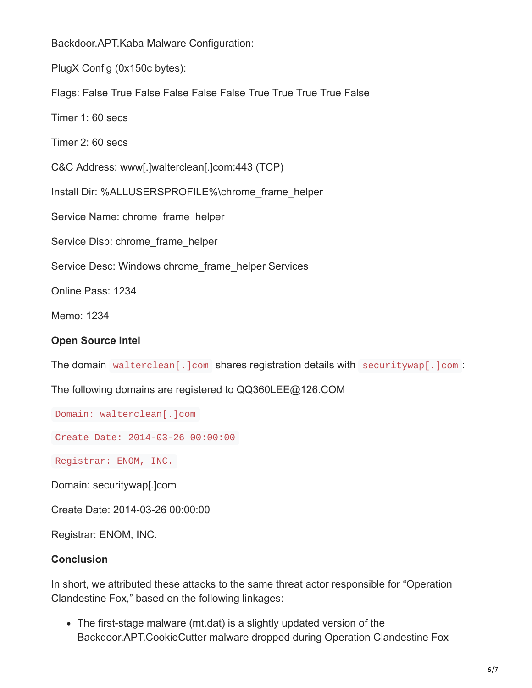Backdoor.APT.Kaba Malware Configuration:

PlugX Config (0x150c bytes):

Flags: False True False False False False True True True True False

Timer 1: 60 secs

Timer 2: 60 secs

C&C Address: www[.]walterclean[.]com:443 (TCP)

Install Dir: %ALLUSERSPROFILE%\chrome\_frame\_helper

Service Name: chrome\_frame\_helper

Service Disp: chrome\_frame\_helper

Service Desc: Windows chrome\_frame\_helper Services

Online Pass: 1234

Memo: 1234

#### **Open Source Intel**

The domain walterclean[.]com shares registration details with securitywap[.]com :

The following domains are registered to QQ360LEE@126.COM

Domain: walterclean[.]com

Create Date: 2014-03-26 00:00:00

Registrar: ENOM, INC.

Domain: securitywap[.]com

Create Date: 2014-03-26 00:00:00

Registrar: ENOM, INC.

#### **Conclusion**

In short, we attributed these attacks to the same threat actor responsible for "Operation Clandestine Fox," based on the following linkages:

The first-stage malware (mt.dat) is a slightly updated version of the Backdoor.APT.CookieCutter malware dropped during Operation Clandestine Fox